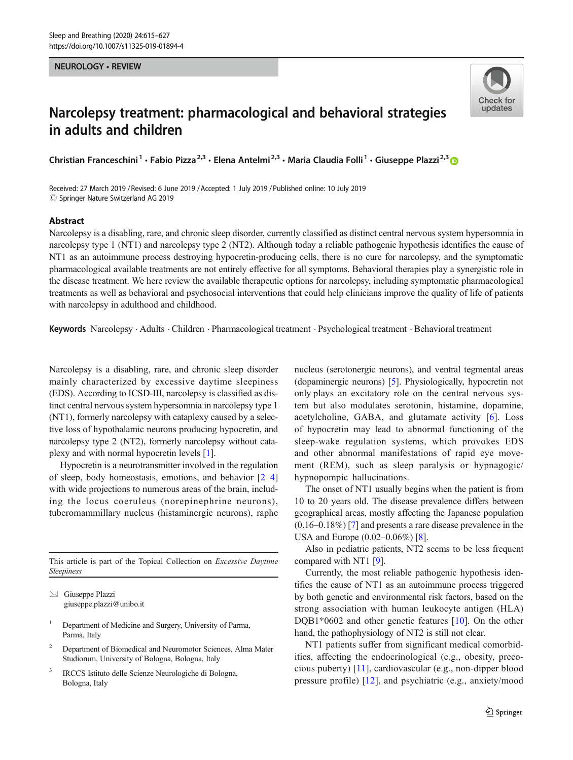### NEUROLOGY • REVIEW



# Narcolepsy treatment: pharmacological and behavioral strategies in adults and children

Christian Franceschini<sup>1</sup> • Fabio Pizza<sup>2,3</sup> • Elena Antelmi<sup>2,3</sup> • Maria Claudia Folli<sup>1</sup> • Giuseppe Plazzi<sup>2,3</sup> ®

Received: 27 March 2019 / Revised: 6 June 2019 /Accepted: 1 July 2019 /Published online: 10 July 2019  $\circledcirc$  Springer Nature Switzerland AG 2019

# Abstract

Narcolepsy is a disabling, rare, and chronic sleep disorder, currently classified as distinct central nervous system hypersomnia in narcolepsy type 1 (NT1) and narcolepsy type 2 (NT2). Although today a reliable pathogenic hypothesis identifies the cause of NT1 as an autoimmune process destroying hypocretin-producing cells, there is no cure for narcolepsy, and the symptomatic pharmacological available treatments are not entirely effective for all symptoms. Behavioral therapies play a synergistic role in the disease treatment. We here review the available therapeutic options for narcolepsy, including symptomatic pharmacological treatments as well as behavioral and psychosocial interventions that could help clinicians improve the quality of life of patients with narcolepsy in adulthood and childhood.

Keywords Narcolepsy . Adults . Children . Pharmacological treatment . Psychological treatment . Behavioral treatment

Narcolepsy is a disabling, rare, and chronic sleep disorder mainly characterized by excessive daytime sleepiness (EDS). According to ICSD-III, narcolepsy is classified as distinct central nervous system hypersomnia in narcolepsy type 1 (NT1), formerly narcolepsy with cataplexy caused by a selective loss of hypothalamic neurons producing hypocretin, and narcolepsy type 2 (NT2), formerly narcolepsy without cataplexy and with normal hypocretin levels [\[1](#page-9-0)].

Hypocretin is a neurotransmitter involved in the regulation of sleep, body homeostasis, emotions, and behavior [[2](#page-9-0)–[4\]](#page-9-0) with wide projections to numerous areas of the brain, including the locus coeruleus (norepinephrine neurons), tuberomammillary nucleus (histaminergic neurons), raphe

This article is part of the Topical Collection on Excessive Daytime Sleepiness

 $\boxtimes$  Giuseppe Plazzi [giuseppe.plazzi@unibo.it](mailto:giuseppe.plazzi@unibo.it)

- <sup>1</sup> Department of Medicine and Surgery, University of Parma, Parma, Italy
- <sup>2</sup> Department of Biomedical and Neuromotor Sciences, Alma Mater Studiorum, University of Bologna, Bologna, Italy
- <sup>3</sup> IRCCS Istituto delle Scienze Neurologiche di Bologna, Bologna, Italy

nucleus (serotonergic neurons), and ventral tegmental areas (dopaminergic neurons) [[5\]](#page-9-0). Physiologically, hypocretin not only plays an excitatory role on the central nervous system but also modulates serotonin, histamine, dopamine, acetylcholine, GABA, and glutamate activity [[6\]](#page-9-0). Loss of hypocretin may lead to abnormal functioning of the sleep-wake regulation systems, which provokes EDS and other abnormal manifestations of rapid eye movement (REM), such as sleep paralysis or hypnagogic/ hypnopompic hallucinations.

The onset of NT1 usually begins when the patient is from 10 to 20 years old. The disease prevalence differs between geographical areas, mostly affecting the Japanese population (0.16–0.18%) [[7\]](#page-9-0) and presents a rare disease prevalence in the USA and Europe (0.02–0.06%) [\[8\]](#page-9-0).

Also in pediatric patients, NT2 seems to be less frequent compared with NT1 [[9](#page-9-0)].

Currently, the most reliable pathogenic hypothesis identifies the cause of NT1 as an autoimmune process triggered by both genetic and environmental risk factors, based on the strong association with human leukocyte antigen (HLA) DQB1\*0602 and other genetic features [[10\]](#page-9-0). On the other hand, the pathophysiology of NT2 is still not clear.

NT1 patients suffer from significant medical comorbidities, affecting the endocrinological (e.g., obesity, precocious puberty) [[11](#page-9-0)], cardiovascular (e.g., non-dipper blood pressure profile) [[12](#page-9-0)], and psychiatric (e.g., anxiety/mood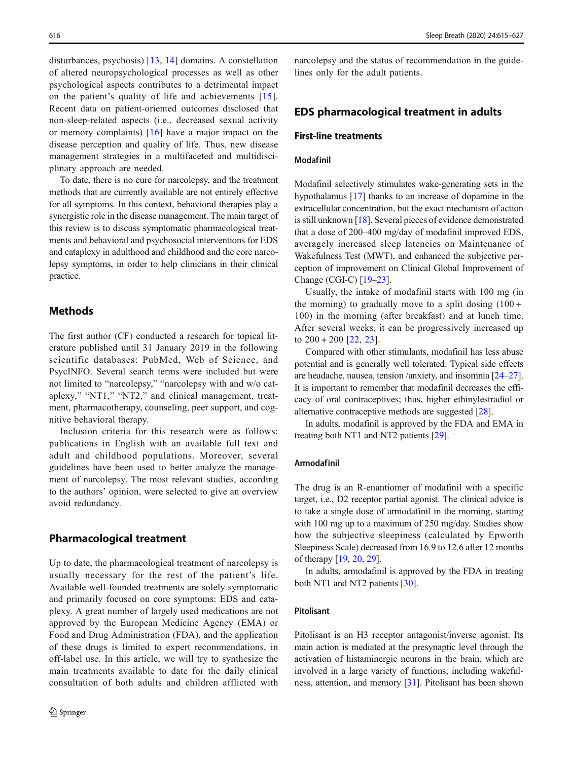disturbances, psychosis) [[13](#page-9-0), [14\]](#page-9-0) domains. A constellation of altered neuropsychological processes as well as other psychological aspects contributes to a detrimental impact on the patient's quality of life and achievements [[15](#page-9-0)]. Recent data on patient-oriented outcomes disclosed that non-sleep-related aspects (i.e., decreased sexual activity or memory complaints) [[16\]](#page-9-0) have a major impact on the disease perception and quality of life. Thus, new disease management strategies in a multifaceted and multidisciplinary approach are needed.

To date, there is no cure for narcolepsy, and the treatment methods that are currently available are not entirely effective for all symptoms. In this context, behavioral therapies play a synergistic role in the disease management. The main target of this review is to discuss symptomatic pharmacological treatments and behavioral and psychosocial interventions for EDS and cataplexy in adulthood and childhood and the core narcolepsy symptoms, in order to help clinicians in their clinical practice.

# **Methods**

The first author (CF) conducted a research for topical literature published until 31 January 2019 in the following scientific databases: PubMed, Web of Science, and PsycINFO. Several search terms were included but were not limited to "narcolepsy," "narcolepsy with and w/o cataplexy," "NT1," "NT2," and clinical management, treatment, pharmacotherapy, counseling, peer support, and cognitive behavioral therapy.

Inclusion criteria for this research were as follows: publications in English with an available full text and adult and childhood populations. Moreover, several guidelines have been used to better analyze the management of narcolepsy. The most relevant studies, according to the authors' opinion, were selected to give an overview avoid redundancy.

# Pharmacological treatment

Up to date, the pharmacological treatment of narcolepsy is usually necessary for the rest of the patient's life. Available well-founded treatments are solely symptomatic and primarily focused on core symptoms: EDS and cataplexy. A great number of largely used medications are not approved by the European Medicine Agency (EMA) or Food and Drug Administration (FDA), and the application of these drugs is limited to expert recommendations, in off-label use. In this article, we will try to synthesize the main treatments available to date for the daily clinical consultation of both adults and children afflicted with narcolepsy and the status of recommendation in the guidelines only for the adult patients.

# EDS pharmacological treatment in adults

# First-line treatments

### Modafinil

Modafinil selectively stimulates wake-generating sets in the hypothalamus [[17\]](#page-9-0) thanks to an increase of dopamine in the extracellular concentration, but the exact mechanism of action is still unknown [\[18\]](#page-9-0). Several pieces of evidence demonstrated that a dose of 200–400 mg/day of modafinil improved EDS, averagely increased sleep latencies on Maintenance of Wakefulness Test (MWT), and enhanced the subjective perception of improvement on Clinical Global Improvement of Change (CGI-C) [\[19](#page-9-0)–[23\]](#page-9-0).

Usually, the intake of modafinil starts with 100 mg (in the morning) to gradually move to a split dosing  $(100 +$ 100) in the morning (after breakfast) and at lunch time. After several weeks, it can be progressively increased up to  $200 + 200$  [[22,](#page-9-0) [23](#page-9-0)].

Compared with other stimulants, modafinil has less abuse potential and is generally well tolerated. Typical side effects are headache, nausea, tension /anxiety, and insomnia [\[24](#page-10-0)–[27\]](#page-10-0). It is important to remember that modafinil decreases the efficacy of oral contraceptives; thus, higher ethinylestradiol or alternative contraceptive methods are suggested [[28](#page-10-0)].

In adults, modafinil is approved by the FDA and EMA in treating both NT1 and NT2 patients [[29](#page-10-0)].

#### Armodafinil

The drug is an R-enantiomer of modafinil with a specific target, i.e., D2 receptor partial agonist. The clinical advice is to take a single dose of armodafinil in the morning, starting with 100 mg up to a maximum of 250 mg/day. Studies show how the subjective sleepiness (calculated by Epworth Sleepiness Scale) decreased from 16.9 to 12.6 after 12 months of therapy [[19](#page-9-0), [20](#page-9-0), [29](#page-10-0)].

In adults, armodafinil is approved by the FDA in treating both NT1 and NT2 patients [[30\]](#page-10-0).

# Pitolisant

Pitolisant is an H3 receptor antagonist/inverse agonist. Its main action is mediated at the presynaptic level through the activation of histaminergic neurons in the brain, which are involved in a large variety of functions, including wakefulness, attention, and memory [\[31](#page-10-0)]. Pitolisant has been shown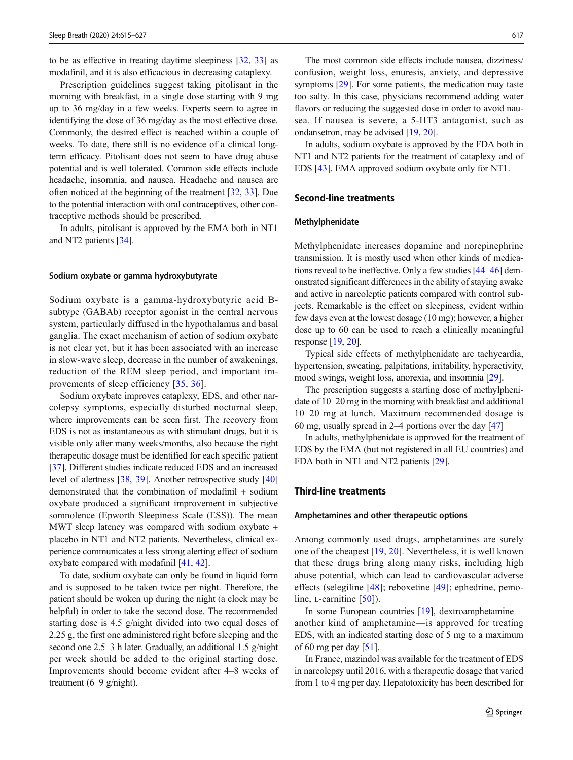to be as effective in treating daytime sleepiness [[32](#page-10-0), [33](#page-10-0)] as modafinil, and it is also efficacious in decreasing cataplexy.

Prescription guidelines suggest taking pitolisant in the morning with breakfast, in a single dose starting with 9 mg up to 36 mg/day in a few weeks. Experts seem to agree in identifying the dose of 36 mg/day as the most effective dose. Commonly, the desired effect is reached within a couple of weeks. To date, there still is no evidence of a clinical longterm efficacy. Pitolisant does not seem to have drug abuse potential and is well tolerated. Common side effects include headache, insomnia, and nausea. Headache and nausea are often noticed at the beginning of the treatment [\[32](#page-10-0), [33](#page-10-0)]. Due to the potential interaction with oral contraceptives, other contraceptive methods should be prescribed.

In adults, pitolisant is approved by the EMA both in NT1 and NT2 patients [\[34\]](#page-10-0).

### Sodium oxybate or gamma hydroxybutyrate

Sodium oxybate is a gamma-hydroxybutyric acid Bsubtype (GABAb) receptor agonist in the central nervous system, particularly diffused in the hypothalamus and basal ganglia. The exact mechanism of action of sodium oxybate is not clear yet, but it has been associated with an increase in slow-wave sleep, decrease in the number of awakenings, reduction of the REM sleep period, and important improvements of sleep efficiency [[35](#page-10-0), [36\]](#page-10-0).

Sodium oxybate improves cataplexy, EDS, and other narcolepsy symptoms, especially disturbed nocturnal sleep, where improvements can be seen first. The recovery from EDS is not as instantaneous as with stimulant drugs, but it is visible only after many weeks/months, also because the right therapeutic dosage must be identified for each specific patient [\[37\]](#page-10-0). Different studies indicate reduced EDS and an increased level of alertness [\[38,](#page-10-0) [39\]](#page-10-0). Another retrospective study [\[40\]](#page-10-0) demonstrated that the combination of modafinil + sodium oxybate produced a significant improvement in subjective somnolence (Epworth Sleepiness Scale (ESS)). The mean MWT sleep latency was compared with sodium oxybate + placebo in NT1 and NT2 patients. Nevertheless, clinical experience communicates a less strong alerting effect of sodium oxybate compared with modafinil [\[41](#page-10-0), [42](#page-10-0)].

To date, sodium oxybate can only be found in liquid form and is supposed to be taken twice per night. Therefore, the patient should be woken up during the night (a clock may be helpful) in order to take the second dose. The recommended starting dose is 4.5 g/night divided into two equal doses of 2.25 g, the first one administered right before sleeping and the second one 2.5–3 h later. Gradually, an additional 1.5 g/night per week should be added to the original starting dose. Improvements should become evident after 4–8 weeks of treatment (6–9 g/night).

The most common side effects include nausea, dizziness/ confusion, weight loss, enuresis, anxiety, and depressive symptoms [\[29](#page-10-0)]. For some patients, the medication may taste too salty. In this case, physicians recommend adding water flavors or reducing the suggested dose in order to avoid nausea. If nausea is severe, a 5-HT3 antagonist, such as ondansetron, may be advised [\[19](#page-9-0), [20\]](#page-9-0).

In adults, sodium oxybate is approved by the FDA both in NT1 and NT2 patients for the treatment of cataplexy and of EDS [\[43](#page-10-0)]. EMA approved sodium oxybate only for NT1.

# Second-line treatments

#### Methylphenidate

Methylphenidate increases dopamine and norepinephrine transmission. It is mostly used when other kinds of medications reveal to be ineffective. Only a few studies [[44](#page-10-0)–[46](#page-10-0)] demonstrated significant differences in the ability of staying awake and active in narcoleptic patients compared with control subjects. Remarkable is the effect on sleepiness, evident within few days even at the lowest dosage (10 mg); however, a higher dose up to 60 can be used to reach a clinically meaningful response [[19,](#page-9-0) [20](#page-9-0)].

Typical side effects of methylphenidate are tachycardia, hypertension, sweating, palpitations, irritability, hyperactivity, mood swings, weight loss, anorexia, and insomnia [[29](#page-10-0)].

The prescription suggests a starting dose of methylphenidate of 10–20 mg in the morning with breakfast and additional 10–20 mg at lunch. Maximum recommended dosage is 60 mg, usually spread in 2–4 portions over the day [[47](#page-10-0)]

In adults, methylphenidate is approved for the treatment of EDS by the EMA (but not registered in all EU countries) and FDA both in NT1 and NT2 patients [\[29\]](#page-10-0).

# Third-line treatments

#### Amphetamines and other therapeutic options

Among commonly used drugs, amphetamines are surely one of the cheapest [\[19](#page-9-0), [20](#page-9-0)]. Nevertheless, it is well known that these drugs bring along many risks, including high abuse potential, which can lead to cardiovascular adverse effects (selegiline [[48\]](#page-10-0); reboxetine [\[49\]](#page-10-0); ephedrine, pemoline, *L*-carnitine [\[50\]](#page-10-0)).

In some European countries [\[19](#page-9-0)], dextroamphetamine another kind of amphetamine—is approved for treating EDS, with an indicated starting dose of 5 mg to a maximum of 60 mg per day [\[51](#page-10-0)].

In France, mazindol was available for the treatment of EDS in narcolepsy until 2016, with a therapeutic dosage that varied from 1 to 4 mg per day. Hepatotoxicity has been described for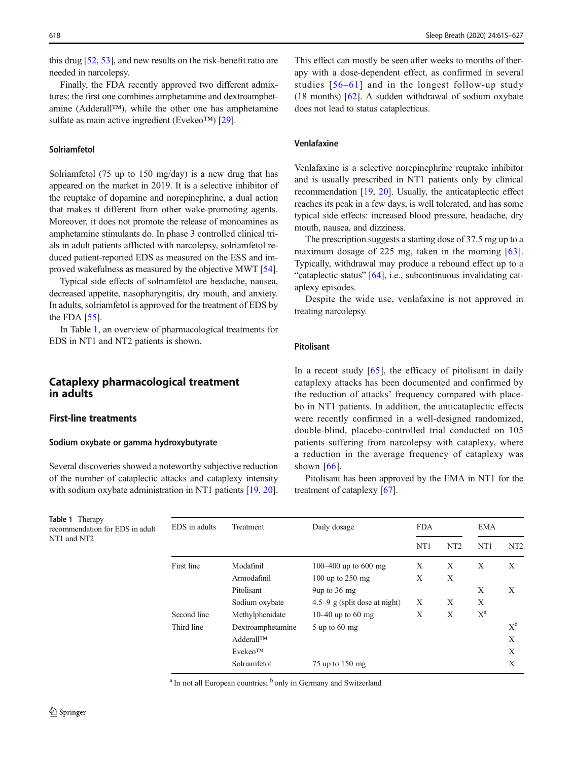this drug [\[52](#page-10-0), [53\]](#page-10-0), and new results on the risk-benefit ratio are needed in narcolepsy.

Finally, the FDA recently approved two different admixtures: the first one combines amphetamine and dextroamphetamine (Adderall™), while the other one has amphetamine sulfate as main active ingredient (Evekeo™) [\[29\]](#page-10-0).

### Solriamfetol

Solriamfetol (75 up to 150 mg/day) is a new drug that has appeared on the market in 2019. It is a selective inhibitor of the reuptake of dopamine and norepinephrine, a dual action that makes it different from other wake-promoting agents. Moreover, it does not promote the release of monoamines as amphetamine stimulants do. In phase 3 controlled clinical trials in adult patients afflicted with narcolepsy, solriamfetol reduced patient-reported EDS as measured on the ESS and improved wakefulness as measured by the objective MWT [[54\]](#page-10-0).

Typical side effects of solriamfetol are headache, nausea, decreased appetite, nasopharyngitis, dry mouth, and anxiety. In adults, solriamfetol is approved for the treatment of EDS by the FDA  $[55]$  $[55]$ .

In Table 1, an overview of pharmacological treatments for EDS in NT1 and NT2 patients is shown.

# Cataplexy pharmacological treatment in adults

# First-line treatments

Table 1 Therapy

NT1 and NT2

recommendation for EDS in adult

#### Sodium oxybate or gamma hydroxybutyrate

Several discoveries showed a noteworthy subjective reduction of the number of cataplectic attacks and cataplexy intensity with sodium oxybate administration in NT1 patients [\[19,](#page-9-0) [20\]](#page-9-0).

This effect can mostly be seen after weeks to months of therapy with a dose-dependent effect, as confirmed in several studies [[56](#page-10-0)–[61](#page-11-0)] and in the longest follow-up study (18 months)  $[62]$  $[62]$ . A sudden withdrawal of sodium oxybate does not lead to status cataplecticus.

#### Venlafaxine

Venlafaxine is a selective norepinephrine reuptake inhibitor and is usually prescribed in NT1 patients only by clinical recommendation [\[19,](#page-9-0) [20\]](#page-9-0). Usually, the anticataplectic effect reaches its peak in a few days, is well tolerated, and has some typical side effects: increased blood pressure, headache, dry mouth, nausea, and dizziness.

The prescription suggests a starting dose of 37.5 mg up to a maximum dosage of 225 mg, taken in the morning [\[63](#page-11-0)]. Typically, withdrawal may produce a rebound effect up to a "cataplectic status" [[64](#page-11-0)], i.e., subcontinuous invalidating cataplexy episodes.

Despite the wide use, venlafaxine is not approved in treating narcolepsy.

### Pitolisant

In a recent study  $[65]$  $[65]$ , the efficacy of pitolisant in daily cataplexy attacks has been documented and confirmed by the reduction of attacks' frequency compared with placebo in NT1 patients. In addition, the anticataplectic effects were recently confirmed in a well-designed randomized, double-blind, placebo-controlled trial conducted on 105 patients suffering from narcolepsy with cataplexy, where a reduction in the average frequency of cataplexy was shown  $[66]$ .

Pitolisant has been approved by the EMA in NT1 for the treatment of cataplexy [[67](#page-11-0)].

| EDS in adults | Treatment           | Daily dosage                     | <b>FDA</b>      |                 | <b>EMA</b>      |                 |
|---------------|---------------------|----------------------------------|-----------------|-----------------|-----------------|-----------------|
|               |                     |                                  | NT <sub>1</sub> | NT <sub>2</sub> | NT <sub>1</sub> | NT <sub>2</sub> |
| First line    | Modafinil           | 100–400 up to 600 mg             | X               | X               | X               | X               |
|               | Armodafinil         | 100 up to $250$ mg               | X               | X               |                 |                 |
|               | Pitolisant          | 9up to $36 \text{ mg}$           |                 |                 | X               | X               |
|               | Sodium oxybate      | 4.5–9 g (split dose at night)    | X               | X               | X               |                 |
| Second line   | Methylphenidate     | 10–40 up to 60 mg                | X               | X               | $X^a$           |                 |
| Third line    | Dextroamphetamine   | $5 \text{ up to } 60 \text{ mg}$ |                 |                 |                 | $X^b$           |
|               | AdderallTM          |                                  |                 |                 |                 | X               |
|               | Evekeo <sup>™</sup> |                                  |                 |                 |                 | X               |
|               | Solriamfetol        | $75$ up to $150$ mg              |                 |                 |                 | Χ               |

<sup>a</sup> In not all European countries; <sup>b</sup> only in Germany and Switzerland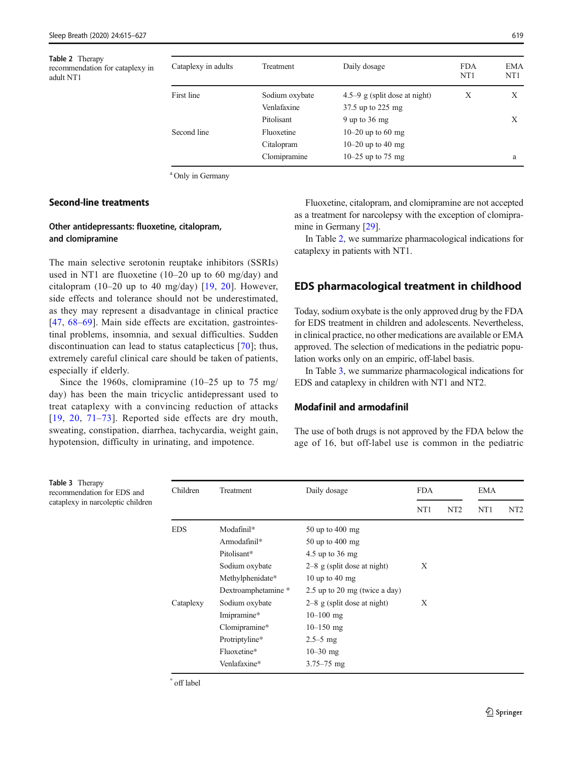Table 2 Therapy recommendation for cataplexy in adult NT1

| Cataplexy in adults | Treatment      | Daily dosage                  | <b>FDA</b><br>NT <sub>1</sub> | EMA<br>NT <sub>1</sub> |
|---------------------|----------------|-------------------------------|-------------------------------|------------------------|
| First line          | Sodium oxybate | 4.5–9 g (split dose at night) | X                             | X                      |
|                     | Venlafaxine    | 37.5 up to 225 mg             |                               |                        |
|                     | Pitolisant     | 9 up to $36 \text{ mg}$       |                               | X                      |
| Second line         | Fluoxetine     | 10–20 up to 60 mg             |                               |                        |
|                     | Citalopram     | 10–20 up to 40 mg             |                               |                        |
|                     | Clomipramine   | 10–25 up to 75 mg             |                               | a                      |

<sup>a</sup> Only in Germany

# Second-line treatments

# Other antidepressants: fluoxetine, citalopram, and clomipramine

The main selective serotonin reuptake inhibitors (SSRIs) used in NT1 are fluoxetine (10–20 up to 60 mg/day) and citalopram  $(10-20 \text{ up to } 40 \text{ mg/day})$  [[19](#page-9-0), [20\]](#page-9-0). However, side effects and tolerance should not be underestimated, as they may represent a disadvantage in clinical practice [\[47,](#page-10-0) [68](#page-11-0)–[69](#page-11-0)]. Main side effects are excitation, gastrointestinal problems, insomnia, and sexual difficulties. Sudden discontinuation can lead to status cataplecticus [\[70](#page-11-0)]; thus, extremely careful clinical care should be taken of patients, especially if elderly.

Since the 1960s, clomipramine (10–25 up to 75 mg/ day) has been the main tricyclic antidepressant used to treat cataplexy with a convincing reduction of attacks [\[19,](#page-9-0) [20,](#page-9-0) [71](#page-11-0)–[73](#page-11-0)]. Reported side effects are dry mouth, sweating, constipation, diarrhea, tachycardia, weight gain, hypotension, difficulty in urinating, and impotence.

Fluoxetine, citalopram, and clomipramine are not accepted as a treatment for narcolepsy with the exception of clomipramine in Germany [\[29](#page-10-0)].

In Table 2, we summarize pharmacological indications for cataplexy in patients with NT1.

# EDS pharmacological treatment in childhood

Today, sodium oxybate is the only approved drug by the FDA for EDS treatment in children and adolescents. Nevertheless, in clinical practice, no other medications are available or EMA approved. The selection of medications in the pediatric population works only on an empiric, off-label basis.

In Table 3, we summarize pharmacological indications for EDS and cataplexy in children with NT1 and NT2.

#### Modafinil and armodafinil

The use of both drugs is not approved by the FDA below the age of 16, but off-label use is common in the pediatric

| <b>Table 3</b> Therapy<br>recommendation for EDS and<br>cataplexy in narcoleptic children | Children   | Treatment           | Daily dosage                  | <b>FDA</b>      |                 | EMA             |                 |
|-------------------------------------------------------------------------------------------|------------|---------------------|-------------------------------|-----------------|-----------------|-----------------|-----------------|
|                                                                                           |            |                     |                               | NT <sub>1</sub> | NT <sub>2</sub> | NT <sub>1</sub> | NT <sub>2</sub> |
|                                                                                           | <b>EDS</b> | Modafinil*          | $50$ up to $400$ mg           |                 |                 |                 |                 |
|                                                                                           |            | Armodafinil*        | $50$ up to $400$ mg           |                 |                 |                 |                 |
|                                                                                           |            | Pitolisant*         | 4.5 up to $36 \text{ mg}$     |                 |                 |                 |                 |
|                                                                                           |            | Sodium oxybate      | $2-8$ g (split dose at night) | X               |                 |                 |                 |
|                                                                                           |            | Methylphenidate*    | 10 up to 40 mg                |                 |                 |                 |                 |
|                                                                                           |            | Dextroamphetamine * | 2.5 up to 20 mg (twice a day) |                 |                 |                 |                 |
|                                                                                           | Cataplexy  | Sodium oxybate      | $2-8$ g (split dose at night) | X               |                 |                 |                 |
|                                                                                           |            | Imipramine*         | $10 - 100$ mg                 |                 |                 |                 |                 |
|                                                                                           |            | Clomipramine*       | $10 - 150$ mg                 |                 |                 |                 |                 |
|                                                                                           |            | Protriptyline*      | $2.5 - 5$ mg                  |                 |                 |                 |                 |
|                                                                                           |            | Fluoxetine*         | $10 - 30$ mg                  |                 |                 |                 |                 |
|                                                                                           |            | Venlafaxine*        | $3.75 - 75$ mg                |                 |                 |                 |                 |

\* off label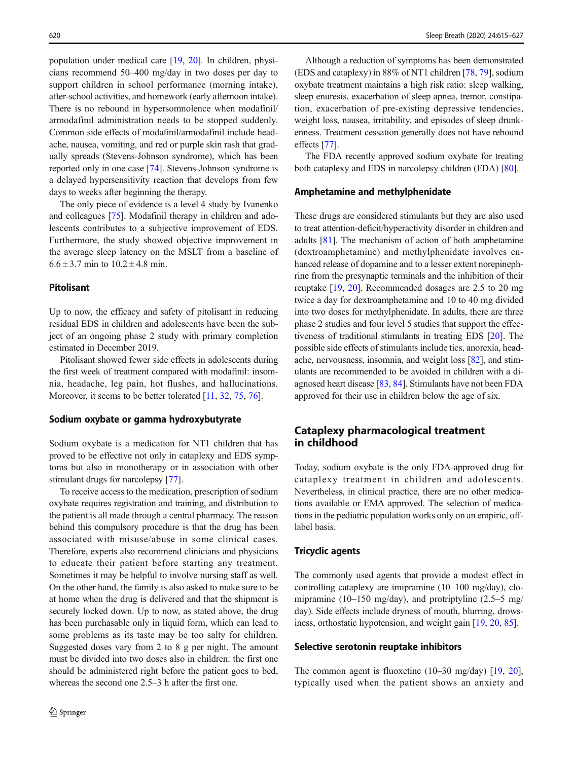population under medical care [[19,](#page-9-0) [20\]](#page-9-0). In children, physicians recommend 50–400 mg/day in two doses per day to support children in school performance (morning intake), after-school activities, and homework (early afternoon intake). There is no rebound in hypersomnolence when modafinil/ armodafinil administration needs to be stopped suddenly. Common side effects of modafinil/armodafinil include headache, nausea, vomiting, and red or purple skin rash that gradually spreads (Stevens-Johnson syndrome), which has been reported only in one case [[74](#page-11-0)]. Stevens-Johnson syndrome is a delayed hypersensitivity reaction that develops from few days to weeks after beginning the therapy.

The only piece of evidence is a level 4 study by Ivanenko and colleagues [[75](#page-11-0)]. Modafinil therapy in children and adolescents contributes to a subjective improvement of EDS. Furthermore, the study showed objective improvement in the average sleep latency on the MSLT from a baseline of  $6.6 \pm 3.7$  min to  $10.2 \pm 4.8$  min.

# Pitolisant

Up to now, the efficacy and safety of pitolisant in reducing residual EDS in children and adolescents have been the subject of an ongoing phase 2 study with primary completion estimated in December 2019.

Pitolisant showed fewer side effects in adolescents during the first week of treatment compared with modafinil: insomnia, headache, leg pain, hot flushes, and hallucinations. Moreover, it seems to be better tolerated [\[11](#page-9-0), [32](#page-10-0), [75](#page-11-0), [76](#page-11-0)].

#### Sodium oxybate or gamma hydroxybutyrate

Sodium oxybate is a medication for NT1 children that has proved to be effective not only in cataplexy and EDS symptoms but also in monotherapy or in association with other stimulant drugs for narcolepsy [\[77](#page-11-0)].

To receive access to the medication, prescription of sodium oxybate requires registration and training, and distribution to the patient is all made through a central pharmacy. The reason behind this compulsory procedure is that the drug has been associated with misuse/abuse in some clinical cases. Therefore, experts also recommend clinicians and physicians to educate their patient before starting any treatment. Sometimes it may be helpful to involve nursing staff as well. On the other hand, the family is also asked to make sure to be at home when the drug is delivered and that the shipment is securely locked down. Up to now, as stated above, the drug has been purchasable only in liquid form, which can lead to some problems as its taste may be too salty for children. Suggested doses vary from 2 to 8 g per night. The amount must be divided into two doses also in children: the first one should be administered right before the patient goes to bed, whereas the second one 2.5–3 h after the first one.

Although a reduction of symptoms has been demonstrated (EDS and cataplexy) in 88% of NT1 children [\[78,](#page-11-0) [79\]](#page-11-0), sodium oxybate treatment maintains a high risk ratio: sleep walking, sleep enuresis, exacerbation of sleep apnea, tremor, constipation, exacerbation of pre-existing depressive tendencies, weight loss, nausea, irritability, and episodes of sleep drunkenness. Treatment cessation generally does not have rebound effects [\[77](#page-11-0)].

The FDA recently approved sodium oxybate for treating both cataplexy and EDS in narcolepsy children (FDA) [\[80\]](#page-11-0).

#### Amphetamine and methylphenidate

These drugs are considered stimulants but they are also used to treat attention-deficit/hyperactivity disorder in children and adults [[81\]](#page-11-0). The mechanism of action of both amphetamine (dextroamphetamine) and methylphenidate involves enhanced release of dopamine and to a lesser extent norepinephrine from the presynaptic terminals and the inhibition of their reuptake [\[19,](#page-9-0) [20](#page-9-0)]. Recommended dosages are 2.5 to 20 mg twice a day for dextroamphetamine and 10 to 40 mg divided into two doses for methylphenidate. In adults, there are three phase 2 studies and four level 5 studies that support the effectiveness of traditional stimulants in treating EDS [[20\]](#page-9-0). The possible side effects of stimulants include tics, anorexia, headache, nervousness, insomnia, and weight loss [\[82](#page-11-0)], and stimulants are recommended to be avoided in children with a diagnosed heart disease [\[83](#page-11-0), [84](#page-11-0)]. Stimulants have not been FDA approved for their use in children below the age of six.

# Cataplexy pharmacological treatment in childhood

Today, sodium oxybate is the only FDA-approved drug for cataplexy treatment in children and adolescents. Nevertheless, in clinical practice, there are no other medications available or EMA approved. The selection of medications in the pediatric population works only on an empiric, offlabel basis.

# Tricyclic agents

The commonly used agents that provide a modest effect in controlling cataplexy are imipramine (10–100 mg/day), clomipramine (10–150 mg/day), and protriptyline (2.5–5 mg/ day). Side effects include dryness of mouth, blurring, drowsiness, orthostatic hypotension, and weight gain [\[19](#page-9-0), [20](#page-9-0), [85\]](#page-11-0).

#### Selective serotonin reuptake inhibitors

The common agent is fluoxetine (10–30 mg/day) [[19,](#page-9-0) [20\]](#page-9-0), typically used when the patient shows an anxiety and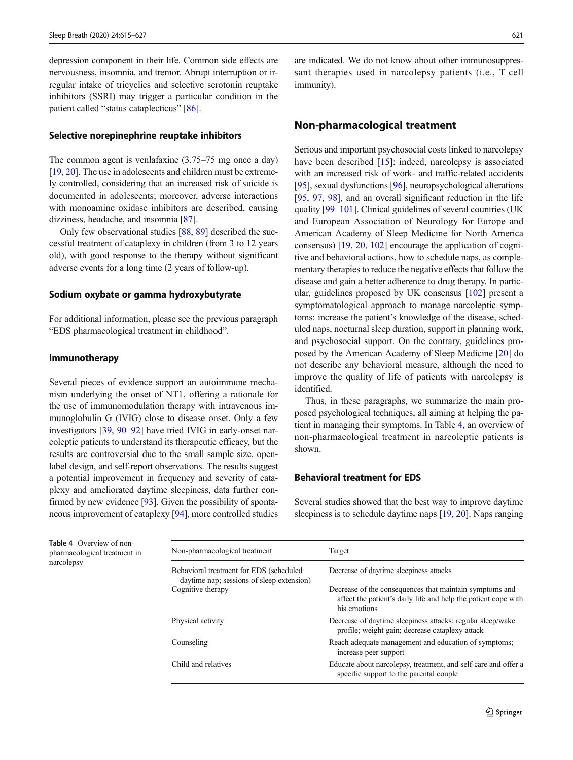depression component in their life. Common side effects are nervousness, insomnia, and tremor. Abrupt interruption or irregular intake of tricyclics and selective serotonin reuptake inhibitors (SSRI) may trigger a particular condition in the patient called "status cataplecticus" [[86\]](#page-11-0).

#### Selective norepinephrine reuptake inhibitors

The common agent is venlafaxine (3.75–75 mg once a day) [\[19,](#page-9-0) [20](#page-9-0)]. The use in adolescents and children must be extremely controlled, considering that an increased risk of suicide is documented in adolescents; moreover, adverse interactions with monoamine oxidase inhibitors are described, causing dizziness, headache, and insomnia [[87](#page-11-0)].

Only few observational studies [[88](#page-11-0), [89](#page-11-0)] described the successful treatment of cataplexy in children (from 3 to 12 years old), with good response to the therapy without significant adverse events for a long time (2 years of follow-up).

### Sodium oxybate or gamma hydroxybutyrate

For additional information, please see the previous paragraph "EDS pharmacological treatment in childhood".

#### Immunotherapy

Several pieces of evidence support an autoimmune mechanism underlying the onset of NT1, offering a rationale for the use of immunomodulation therapy with intravenous immunoglobulin G (IVIG) close to disease onset. Only a few investigators [\[39](#page-10-0), [90](#page-11-0)–[92\]](#page-11-0) have tried IVIG in early-onset narcoleptic patients to understand its therapeutic efficacy, but the results are controversial due to the small sample size, openlabel design, and self-report observations. The results suggest a potential improvement in frequency and severity of cataplexy and ameliorated daytime sleepiness, data further confirmed by new evidence [[93](#page-12-0)]. Given the possibility of spontaneous improvement of cataplexy [[94\]](#page-12-0), more controlled studies

are indicated. We do not know about other immunosuppressant therapies used in narcolepsy patients (i.e., T cell immunity).

# Non-pharmacological treatment

Serious and important psychosocial costs linked to narcolepsy have been described [\[15](#page-9-0)]: indeed, narcolepsy is associated with an increased risk of work- and traffic-related accidents [\[95](#page-12-0)], sexual dysfunctions [[96](#page-12-0)], neuropsychological alterations [\[95](#page-12-0), [97,](#page-12-0) [98\]](#page-12-0), and an overall significant reduction in the life quality [\[99](#page-12-0)–[101\]](#page-12-0). Clinical guidelines of several countries (UK and European Association of Neurology for Europe and American Academy of Sleep Medicine for North America consensus) [[19](#page-9-0), [20,](#page-9-0) [102\]](#page-12-0) encourage the application of cognitive and behavioral actions, how to schedule naps, as complementary therapies to reduce the negative effects that follow the disease and gain a better adherence to drug therapy. In particular, guidelines proposed by UK consensus [[102\]](#page-12-0) present a symptomatological approach to manage narcoleptic symptoms: increase the patient's knowledge of the disease, scheduled naps, nocturnal sleep duration, support in planning work, and psychosocial support. On the contrary, guidelines proposed by the American Academy of Sleep Medicine [[20](#page-9-0)] do not describe any behavioral measure, although the need to improve the quality of life of patients with narcolepsy is identified.

Thus, in these paragraphs, we summarize the main proposed psychological techniques, all aiming at helping the patient in managing their symptoms. In Table 4, an overview of non-pharmacological treatment in narcoleptic patients is shown.

# Behavioral treatment for EDS

Several studies showed that the best way to improve daytime sleepiness is to schedule daytime naps [[19](#page-9-0), [20](#page-9-0)]. Naps ranging

Table 4 Overview of nonpharmacological treatment in narcolepsy

| Non-pharmacological treatment                                                        | Target                                                                                                                                    |  |  |  |
|--------------------------------------------------------------------------------------|-------------------------------------------------------------------------------------------------------------------------------------------|--|--|--|
| Behavioral treatment for EDS (scheduled<br>daytime nap; sessions of sleep extension) | Decrease of daytime sleepiness attacks                                                                                                    |  |  |  |
| Cognitive therapy                                                                    | Decrease of the consequences that maintain symptoms and<br>affect the patient's daily life and help the patient cope with<br>his emotions |  |  |  |
| Physical activity                                                                    | Decrease of daytime sleepiness attacks; regular sleep/wake<br>profile; weight gain; decrease cataplexy attack                             |  |  |  |
| Counseling                                                                           | Reach adequate management and education of symptoms;<br>increase peer support                                                             |  |  |  |
| Child and relatives                                                                  | Educate about narcolepsy, treatment, and self-care and offer a<br>specific support to the parental couple                                 |  |  |  |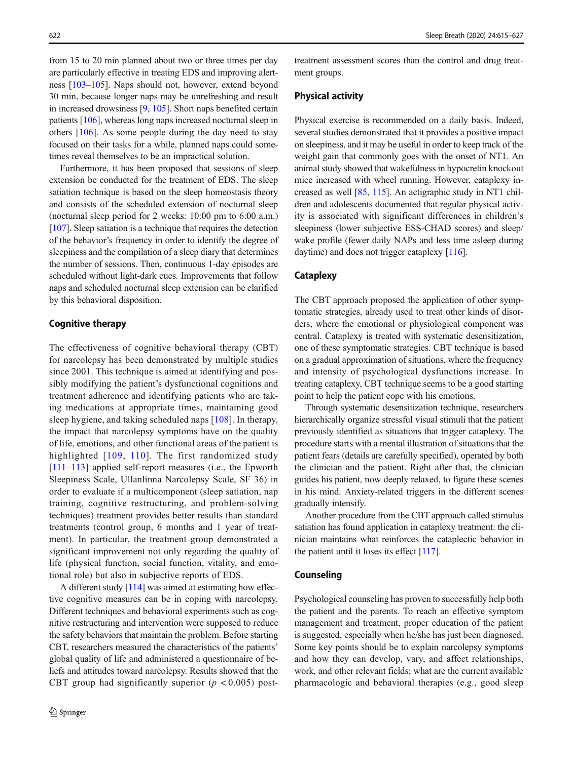from 15 to 20 min planned about two or three times per day are particularly effective in treating EDS and improving alertness [[103](#page-12-0)–[105](#page-12-0)]. Naps should not, however, extend beyond 30 min, because longer naps may be unrefreshing and result in increased drowsiness [\[9](#page-9-0), [105\]](#page-12-0). Short naps benefited certain patients [\[106\]](#page-12-0), whereas long naps increased nocturnal sleep in others [\[106](#page-12-0)]. As some people during the day need to stay focused on their tasks for a while, planned naps could sometimes reveal themselves to be an impractical solution.

Furthermore, it has been proposed that sessions of sleep extension be conducted for the treatment of EDS. The sleep satiation technique is based on the sleep homeostasis theory and consists of the scheduled extension of nocturnal sleep (nocturnal sleep period for 2 weeks: 10:00 pm to 6:00 a.m.) [\[107\]](#page-12-0). Sleep satiation is a technique that requires the detection of the behavior's frequency in order to identify the degree of sleepiness and the compilation of a sleep diary that determines the number of sessions. Then, continuous 1-day episodes are scheduled without light-dark cues. Improvements that follow naps and scheduled nocturnal sleep extension can be clarified by this behavioral disposition.

# Cognitive therapy

The effectiveness of cognitive behavioral therapy (CBT) for narcolepsy has been demonstrated by multiple studies since 2001. This technique is aimed at identifying and possibly modifying the patient's dysfunctional cognitions and treatment adherence and identifying patients who are taking medications at appropriate times, maintaining good sleep hygiene, and taking scheduled naps [[108\]](#page-12-0). In therapy, the impact that narcolepsy symptoms have on the quality of life, emotions, and other functional areas of the patient is highlighted [[109,](#page-12-0) [110\]](#page-12-0). The first randomized study [\[111](#page-12-0)–[113](#page-12-0)] applied self-report measures (i.e., the Epworth Sleepiness Scale, Ullanlinna Narcolepsy Scale, SF 36) in order to evaluate if a multicomponent (sleep satiation, nap training, cognitive restructuring, and problem-solving techniques) treatment provides better results than standard treatments (control group, 6 months and 1 year of treatment). In particular, the treatment group demonstrated a significant improvement not only regarding the quality of life (physical function, social function, vitality, and emotional role) but also in subjective reports of EDS.

A different study [\[114\]](#page-12-0) was aimed at estimating how effective cognitive measures can be in coping with narcolepsy. Different techniques and behavioral experiments such as cognitive restructuring and intervention were supposed to reduce the safety behaviors that maintain the problem. Before starting CBT, researchers measured the characteristics of the patients' global quality of life and administered a questionnaire of beliefs and attitudes toward narcolepsy. Results showed that the CBT group had significantly superior  $(p < 0.005)$  post-

treatment assessment scores than the control and drug treatment groups.

# Physical activity

Physical exercise is recommended on a daily basis. Indeed, several studies demonstrated that it provides a positive impact on sleepiness, and it may be useful in order to keep track of the weight gain that commonly goes with the onset of NT1. An animal study showed that wakefulness in hypocretin knockout mice increased with wheel running. However, cataplexy increased as well [[85,](#page-11-0) [115\]](#page-12-0). An actigraphic study in NT1 children and adolescents documented that regular physical activity is associated with significant differences in children's sleepiness (lower subjective ESS-CHAD scores) and sleep/ wake profile (fewer daily NAPs and less time asleep during daytime) and does not trigger cataplexy [\[116\]](#page-12-0).

# **Cataplexy**

The CBT approach proposed the application of other symptomatic strategies, already used to treat other kinds of disorders, where the emotional or physiological component was central. Cataplexy is treated with systematic desensitization, one of these symptomatic strategies. CBT technique is based on a gradual approximation of situations, where the frequency and intensity of psychological dysfunctions increase. In treating cataplexy, CBT technique seems to be a good starting point to help the patient cope with his emotions.

Through systematic desensitization technique, researchers hierarchically organize stressful visual stimuli that the patient previously identified as situations that trigger cataplexy. The procedure starts with a mental illustration of situations that the patient fears (details are carefully specified), operated by both the clinician and the patient. Right after that, the clinician guides his patient, now deeply relaxed, to figure these scenes in his mind. Anxiety-related triggers in the different scenes gradually intensify.

Another procedure from the CBT approach called stimulus satiation has found application in cataplexy treatment: the clinician maintains what reinforces the cataplectic behavior in the patient until it loses its effect [[117\]](#page-12-0).

### Counseling

Psychological counseling has proven to successfully help both the patient and the parents. To reach an effective symptom management and treatment, proper education of the patient is suggested, especially when he/she has just been diagnosed. Some key points should be to explain narcolepsy symptoms and how they can develop, vary, and affect relationships, work, and other relevant fields; what are the current available pharmacologic and behavioral therapies (e.g., good sleep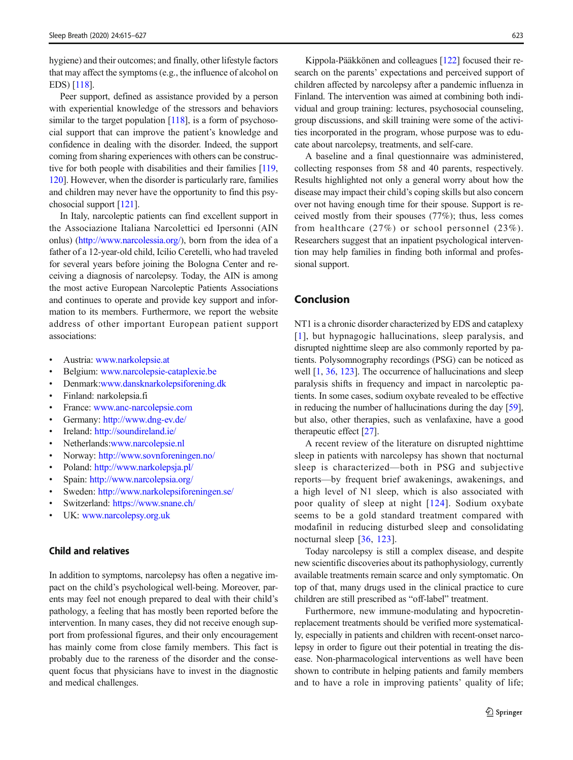hygiene) and their outcomes; and finally, other lifestyle factors that may affect the symptoms (e.g., the influence of alcohol on EDS) [\[118\]](#page-12-0).

Peer support, defined as assistance provided by a person with experiential knowledge of the stressors and behaviors similar to the target population [[118](#page-12-0)], is a form of psychosocial support that can improve the patient's knowledge and confidence in dealing with the disorder. Indeed, the support coming from sharing experiences with others can be constructive for both people with disabilities and their families [\[119,](#page-12-0) [120\]](#page-12-0). However, when the disorder is particularly rare, families and children may never have the opportunity to find this psychosocial support [\[121\]](#page-12-0).

In Italy, narcoleptic patients can find excellent support in the Associazione Italiana Narcolettici ed Ipersonni (AIN onlus) [\(http://www.narcolessia.org/\)](http://www.narcolessia.org/), born from the idea of a father of a 12-year-old child, Icilio Ceretelli, who had traveled for several years before joining the Bologna Center and receiving a diagnosis of narcolepsy. Today, the AIN is among the most active European Narcoleptic Patients Associations and continues to operate and provide key support and information to its members. Furthermore, we report the website address of other important European patient support associations:

- & Austria: [www.narkolepsie.at](http://www.narkolepsie.at)
- & Belgium: [www.narcolepsie-cataplexie.be](http://www.narcolepsie-cataplexie.be)
- & Denmark:[www.dansknarkolepsiforening.dk](http://www.dansknarkolepsiforening.dk)
- & Finland: narkolepsia.fi
- France: [www.anc-narcolepsie.com](http://www.anc-narcolepsie.com)
- Germany: <http://www.dng-ev.de/>
- Ireland: <http://soundireland.ie/>
- Netherlands[:www.narcolepsie.nl](http://www.narcolepsie.nl)
- & Norway: <http://www.sovnforeningen.no/>
- Poland: <http://www.narkolepsja.pl/>
- Spain: <http://www.narcolepsia.org/>
- & Sweden: <http://www.narkolepsiforeningen.se/>
- & Switzerland: <https://www.snane.ch/>
- UK: [www.narcolepsy.org.uk](http://www.narcolepsy.org.uk)

# Child and relatives

In addition to symptoms, narcolepsy has often a negative impact on the child's psychological well-being. Moreover, parents may feel not enough prepared to deal with their child's pathology, a feeling that has mostly been reported before the intervention. In many cases, they did not receive enough support from professional figures, and their only encouragement has mainly come from close family members. This fact is probably due to the rareness of the disorder and the consequent focus that physicians have to invest in the diagnostic and medical challenges.

Kippola-Pääkkönen and colleagues [\[122](#page-12-0)] focused their research on the parents' expectations and perceived support of children affected by narcolepsy after a pandemic influenza in Finland. The intervention was aimed at combining both individual and group training: lectures, psychosocial counseling, group discussions, and skill training were some of the activities incorporated in the program, whose purpose was to educate about narcolepsy, treatments, and self-care.

A baseline and a final questionnaire was administered, collecting responses from 58 and 40 parents, respectively. Results highlighted not only a general worry about how the disease may impact their child's coping skills but also concern over not having enough time for their spouse. Support is received mostly from their spouses (77%); thus, less comes from healthcare (27%) or school personnel (23%). Researchers suggest that an inpatient psychological intervention may help families in finding both informal and professional support.

# Conclusion

NT1 is a chronic disorder characterized by EDS and cataplexy [[1\]](#page-9-0), but hypnagogic hallucinations, sleep paralysis, and disrupted nighttime sleep are also commonly reported by patients. Polysomnography recordings (PSG) can be noticed as well [[1,](#page-9-0) [36,](#page-10-0) [123](#page-12-0)]. The occurrence of hallucinations and sleep paralysis shifts in frequency and impact in narcoleptic patients. In some cases, sodium oxybate revealed to be effective in reducing the number of hallucinations during the day [[59\]](#page-11-0), but also, other therapies, such as venlafaxine, have a good therapeutic effect [[27\]](#page-10-0).

A recent review of the literature on disrupted nighttime sleep in patients with narcolepsy has shown that nocturnal sleep is characterized—both in PSG and subjective reports—by frequent brief awakenings, awakenings, and a high level of N1 sleep, which is also associated with poor quality of sleep at night [[124\]](#page-12-0). Sodium oxybate seems to be a gold standard treatment compared with modafinil in reducing disturbed sleep and consolidating nocturnal sleep [\[36,](#page-10-0) [123\]](#page-12-0).

Today narcolepsy is still a complex disease, and despite new scientific discoveries about its pathophysiology, currently available treatments remain scarce and only symptomatic. On top of that, many drugs used in the clinical practice to cure children are still prescribed as "off-label" treatment.

Furthermore, new immune-modulating and hypocretinreplacement treatments should be verified more systematically, especially in patients and children with recent-onset narcolepsy in order to figure out their potential in treating the disease. Non-pharmacological interventions as well have been shown to contribute in helping patients and family members and to have a role in improving patients' quality of life;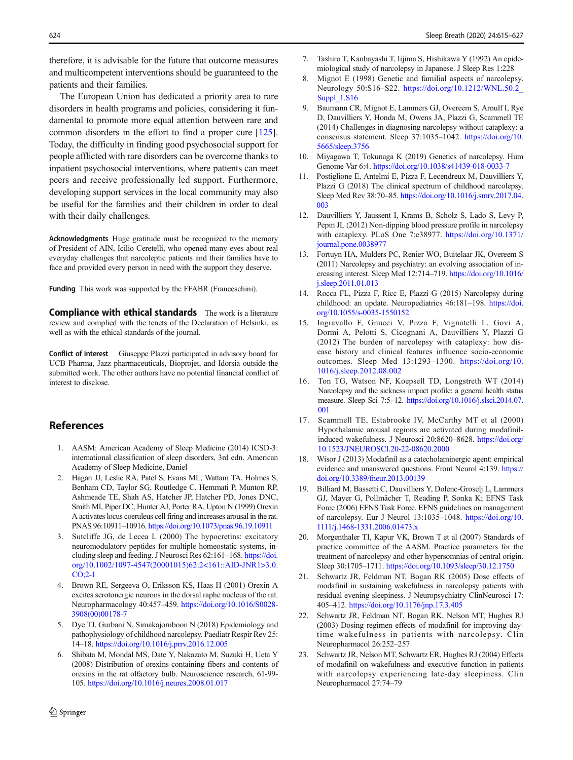<span id="page-9-0"></span>therefore, it is advisable for the future that outcome measures and multicompetent interventions should be guaranteed to the patients and their families.

The European Union has dedicated a priority area to rare disorders in health programs and policies, considering it fundamental to promote more equal attention between rare and common disorders in the effort to find a proper cure [[125\]](#page-12-0). Today, the difficulty in finding good psychosocial support for people afflicted with rare disorders can be overcome thanks to inpatient psychosocial interventions, where patients can meet peers and receive professionally led support. Furthermore, developing support services in the local community may also be useful for the families and their children in order to deal with their daily challenges.

Acknowledgments Huge gratitude must be recognized to the memory of President of AIN, Icilio Ceretelli, who opened many eyes about real everyday challenges that narcoleptic patients and their families have to face and provided every person in need with the support they deserve.

Funding This work was supported by the FFABR (Franceschini).

**Compliance with ethical standards** The work is a literature review and complied with the tenets of the Declaration of Helsinki, as well as with the ethical standards of the journal.

Conflict of interest Giuseppe Plazzi participated in advisory board for UCB Pharma, Jazz pharmaceuticals, Bioprojet, and Idorsia outside the submitted work. The other authors have no potential financial conflict of interest to disclose.

# References

- 1. AASM: American Academy of Sleep Medicine (2014) ICSD-3: international classification of sleep disorders, 3rd edn. American Academy of Sleep Medicine, Daniel
- 2. Hagan JJ, Leslie RA, Patel S, Evans ML, Wattam TA, Holmes S, Benham CD, Taylor SG, Routledge C, Hemmati P, Munton RP, Ashmeade TE, Shah AS, Hatcher JP, Hatcher PD, Jones DNC, Smith MI, Piper DC, Hunter AJ, Porter RA, Upton N (1999) Orexin A activates locus coeruleus cell firing and increases arousal in the rat. PNAS 96:10911–10916. <https://doi.org/10.1073/pnas.96.19.10911>
- 3. Sutcliffe JG, de Lecea L (2000) The hypocretins: excitatory neuromodulatory peptides for multiple homeostatic systems, including sleep and feeding. J Neurosci Res 62:161–168. [https://doi.](https://doi.org/10.1002/1097-4547(20001015)62:2<161::AID-JNR1>3.0.CO;2-1) [org/10.1002/1097-4547\(20001015\)62:2<161::AID-JNR1>3.0.](https://doi.org/10.1002/1097-4547(20001015)62:2<161::AID-JNR1>3.0.CO;2-1) [CO;2-1](https://doi.org/10.1002/1097-4547(20001015)62:2<161::AID-JNR1>3.0.CO;2-1)
- 4. Brown RE, Sergeeva O, Eriksson KS, Haas H (2001) Orexin A excites serotonergic neurons in the dorsal raphe nucleus of the rat. Neuropharmacology 40:457–459. [https://doi.org/10.1016/S0028-](https://doi.org/10.1016/S0028-3908(00)00178-7) [3908\(00\)00178-7](https://doi.org/10.1016/S0028-3908(00)00178-7)
- 5. Dye TJ, Gurbani N, Simakajornboon N (2018) Epidemiology and pathophysiology of childhood narcolepsy. Paediatr Respir Rev 25: 14–18. <https://doi.org/10.1016/j.prrv.2016.12.005>
- 6. Shibata M, Mondal MS, Date Y, Nakazato M, Suzuki H, Ueta Y (2008) Distribution of orexins-containing fibers and contents of orexins in the rat olfactory bulb. Neuroscience research, 61-99- 105. <https://doi.org/10.1016/j.neures.2008.01.017>
- 7. Tashiro T, Kanbayashi T, Iijima S, Hishikawa Y (1992) An epidemiological study of narcolepsy in Japanese. J Sleep Res 1:228
- Mignot E (1998) Genetic and familial aspects of narcolepsy. Neurology 50:S16–S22. [https://doi.org/10.1212/WNL.50.2\\_](https://doi.org/10.1212/WNL.50.2_Suppl_1.S16) [Suppl\\_1.S16](https://doi.org/10.1212/WNL.50.2_Suppl_1.S16)
- 9. Baumann CR, Mignot E, Lammers GJ, Overeem S, Arnulf I, Rye D, Dauvilliers Y, Honda M, Owens JA, Plazzi G, Scammell TE (2014) Challenges in diagnosing narcolepsy without cataplexy: a consensus statement. Sleep 37:1035–1042. [https://doi.org/10.](https://doi.org/10.5665/sleep.3756) [5665/sleep.3756](https://doi.org/10.5665/sleep.3756)
- 10. Miyagawa T, Tokunaga K (2019) Genetics of narcolepsy. Hum Genome Var 6:4. <https://doi.org/10.1038/s41439-018-0033-7>
- 11. Postiglione E, Antelmi E, Pizza F, Lecendreux M, Dauvilliers Y, Plazzi G (2018) The clinical spectrum of childhood narcolepsy. Sleep Med Rev 38:70–85. [https://doi.org/10.1016/j.smrv.2017.04.](https://doi.org/10.1016/j.smrv.2017.04.003) [003](https://doi.org/10.1016/j.smrv.2017.04.003)
- 12. Dauvilliers Y, Jaussent I, Krams B, Scholz S, Lado S, Levy P, Pepin JL (2012) Non-dipping blood pressure profile in narcolepsy with cataplexy. PLoS One 7:e38977. [https://doi.org/10.1371/](https://doi.org/10.1371/journal.pone.0038977) [journal.pone.0038977](https://doi.org/10.1371/journal.pone.0038977)
- 13. Fortuyn HA, Mulders PC, Renier WO, Buitelaar JK, Overeem S (2011) Narcolepsy and psychiatry: an evolving association of increasing interest. Sleep Med 12:714–719. [https://doi.org/10.1016/](https://doi.org/10.1016/j.sleep.2011.01.013) [j.sleep.2011.01.013](https://doi.org/10.1016/j.sleep.2011.01.013)
- 14. Rocca FL, Pizza F, Ricc E, Plazzi G (2015) Narcolepsy during childhood: an update. Neuropediatrics 46:181–198. [https://doi.](https://doi.org/10.1055/s-0035-1550152) [org/10.1055/s-0035-1550152](https://doi.org/10.1055/s-0035-1550152)
- 15. Ingravallo F, Gnucci V, Pizza F, Vignatelli L, Govi A, Dormi A, Pelotti S, Cicognani A, Dauvilliers Y, Plazzi G (2012) The burden of narcolepsy with cataplexy: how disease history and clinical features influence socio-economic outcomes. Sleep Med 13:1293–1300. [https://doi.org/10.](https://doi.org/10.1016/j.sleep.2012.08.002) [1016/j.sleep.2012.08.002](https://doi.org/10.1016/j.sleep.2012.08.002)
- 16. Ton TG, Watson NF, Koepsell TD, Longstreth WT (2014) Narcolepsy and the sickness impact profile: a general health status measure. Sleep Sci 7:5–12. [https://doi.org/10.1016/j.slsci.2014.07.](https://doi.org/10.1016/j.slsci.2014.07.001) [001](https://doi.org/10.1016/j.slsci.2014.07.001)
- 17. Scammell TE, Estabrooke IV, McCarthy MT et al (2000) Hypothalamic arousal regions are activated during modafinilinduced wakefulness. J Neurosci 20:8620–8628. [https://doi.org/](https://doi.org/10.1523/JNEUROSCI.20-22-08620.2000) [10.1523/JNEUROSCI.20-22-08620.2000](https://doi.org/10.1523/JNEUROSCI.20-22-08620.2000)
- 18. Wisor J (2013) Modafinil as a catecholaminergic agent: empirical evidence and unanswered questions. Front Neurol 4:139. [https://](https://doi.org/10.3389/fneur.2013.00139) [doi.org/10.3389/fneur.2013.00139](https://doi.org/10.3389/fneur.2013.00139)
- 19. Billiard M, Bassetti C, Dauvilliers Y, Dolenc-Groselj L, Lammers GJ, Mayer G, Pollmächer T, Reading P, Sonka K; EFNS Task Force (2006) EFNS Task Force. EFNS guidelines on management of narcolepsy. Eur J Neurol 13:1035–1048. [https://doi.org/10.](https://doi.org/10.1111/j.1468-1331.2006.01473.x) [1111/j.1468-1331.2006.01473.x](https://doi.org/10.1111/j.1468-1331.2006.01473.x)
- 20. Morgenthaler TI, Kapur VK, Brown T et al (2007) Standards of practice committee of the AASM. Practice parameters for the treatment of narcolepsy and other hypersomnias of central origin. Sleep 30:1705–1711. <https://doi.org/10.1093/sleep/30.12.1750>
- 21. Schwartz JR, Feldman NT, Bogan RK (2005) Dose effects of modafinil in sustaining wakefulness in narcolepsy patients with residual evening sleepiness. J Neuropsychiatry ClinNeurosci 17: 405–412. <https://doi.org/10.1176/jnp.17.3.405>
- Schwartz JR, Feldman NT, Bogan RK, Nelson MT, Hughes RJ (2003) Dosing regimen effects of modafinil for improving daytime wakefulness in patients with narcolepsy. Clin Neuropharmacol 26:252–257
- 23. Schwartz JR, Nelson MT, Schwartz ER, Hughes RJ (2004) Effects of modafinil on wakefulness and executive function in patients with narcolepsy experiencing late-day sleepiness. Clin Neuropharmacol 27:74–79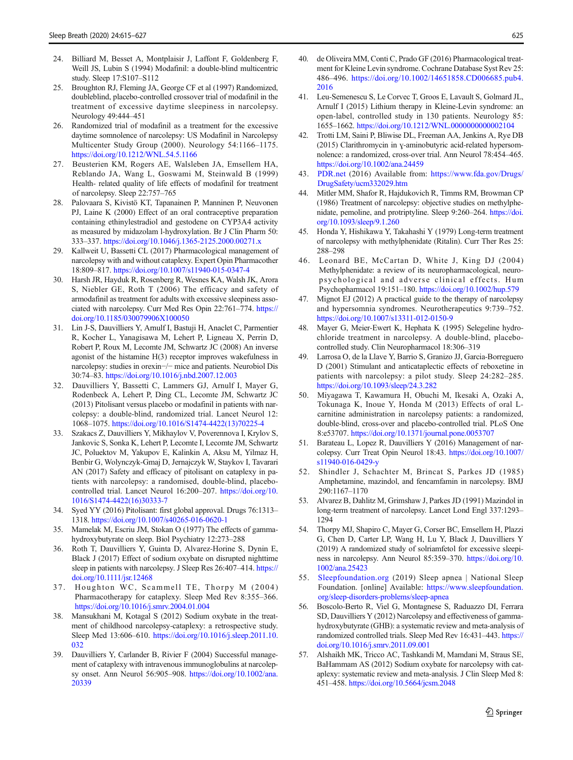- <span id="page-10-0"></span>24. Billiard M, Besset A, Montplaisir J, Laffont F, Goldenberg F, Weill JS, Lubin S (1994) Modafinil: a double-blind multicentric study. Sleep 17:S107–S112
- 25. Broughton RJ, Fleming JA, George CF et al (1997) Randomized, doubleblind, placebo-controlled crossover trial of modafinil in the treatment of excessive daytime sleepiness in narcolepsy. Neurology 49:444–451
- 26. Randomized trial of modafinil as a treatment for the excessive daytime somnolence of narcolepsy: US Modafinil in Narcolepsy Multicenter Study Group (2000). Neurology 54:1166–1175. <https://doi.org/10.1212/WNL.54.5.1166>
- 27. Beusterien KM, Rogers AE, Walsleben JA, Emsellem HA, Reblando JA, Wang L, Goswami M, Steinwald B (1999) Health- related quality of life effects of modafinil for treatment of narcolepsy. Sleep 22:757–765
- 28. Palovaara S, Kivistö KT, Tapanainen P, Manninen P, Neuvonen PJ, Laine K (2000) Effect of an oral contraceptive preparation containing ethinylestradiol and gestodene on CYP3A4 activity as measured by midazolam l-hydroxylation. Br J Clin Pharm 50: 333–337. <https://doi.org/10.1046/j.1365-2125.2000.00271.x>
- 29. Kallweit U, Bassetti CL (2017) Pharmacological management of narcolepsy with and without cataplexy. Expert Opin Pharmacother 18:809–817. <https://doi.org/10.1007/s11940-015-0347-4>
- 30. Harsh JR, Hayduk R, Rosenberg R, Wesnes KA, Walsh JK, Arora S, Niebler GE, Roth T (2006) The efficacy and safety of armodafinil as treatment for adults with excessive sleepiness associated with narcolepsy. Curr Med Res Opin 22:761–774. [https://](https://doi.org/10.1185/030079906X100050) [doi.org/10.1185/030079906X100050](https://doi.org/10.1185/030079906X100050)
- 31. Lin J-S, Dauvilliers Y, Arnulf I, Bastuji H, Anaclet C, Parmentier R, Kocher L, Yanagisawa M, Lehert P, Ligneau X, Perrin D, Robert P, Roux M, Lecomte JM, Schwartz JC (2008) An inverse agonist of the histamine H(3) receptor improves wakefulness in narcolepsy: studies in orexin−/− mice and patients. Neurobiol Dis 30:74–83. <https://doi.org/10.1016/j.nbd.2007.12.003>
- 32. Dauvilliers Y, Bassetti C, Lammers GJ, Arnulf I, Mayer G, Rodenbeck A, Lehert P, Ding CL, Lecomte JM, Schwartz JC (2013) Pitolisant versus placebo or modafinil in patients with narcolepsy: a double-blind, randomized trial. Lancet Neurol 12: 1068–1075. [https://doi.org/10.1016/S1474-4422\(13\)70225-4](https://doi.org/10.1016/S1474-4422(13)70225-4)
- 33. Szakacs Z, Dauvilliers Y, Mikhaylov V, Poverennova I, Krylov S, Jankovic S, Sonka K, Lehert P, Lecomte I, Lecomte JM, Schwartz JC, Poluektov M, Yakupov E, Kalinkin A, Aksu M, Yilmaz H, Benbir G, Wolynczyk-Gmaj D, Jernajczyk W, Staykov I, Tavarari AN (2017) Safety and efficacy of pitolisant on cataplexy in patients with narcolepsy: a randomised, double-blind, placebocontrolled trial. Lancet Neurol 16:200–207. [https://doi.org/10.](https://doi.org/10.1016/S1474-4422(16)30333-7) [1016/S1474-4422\(16\)30333-7](https://doi.org/10.1016/S1474-4422(16)30333-7)
- 34. Syed YY (2016) Pitolisant: first global approval. Drugs 76:1313– 1318. <https://doi.org/10.1007/s40265-016-0620-1>
- 35. Mamelak M, Escriu JM, Stokan O (1977) The effects of gammahydroxybutyrate on sleep. Biol Psychiatry 12:273–288
- 36. Roth T, Dauvilliers Y, Guinta D, Alvarez-Horine S, Dynin E, Black J (2017) Effect of sodium oxybate on disrupted nighttime sleep in patients with narcolepsy. J Sleep Res 26:407–414. [https://](https://doi.org/10.1111/jsr.12468) [doi.org/10.1111/jsr.12468](https://doi.org/10.1111/jsr.12468)
- 37. Houghton WC, Scammell TE, Thorpy M (2004) Pharmacotherapy for cataplexy. Sleep Med Rev 8:355–366. <https://doi.org/10.1016/j.smrv.2004.01.004>
- 38. Mansukhani M, Kotagal S (2012) Sodium oxybate in the treatment of childhood narcolepsy-cataplexy: a retrospective study. Sleep Med 13:606–610. [https://doi.org/10.1016/j.sleep.2011.10.](https://doi.org/10.1016/j.sleep.2011.10.032) [032](https://doi.org/10.1016/j.sleep.2011.10.032)
- 39. Dauvilliers Y, Carlander B, Rivier F (2004) Successful management of cataplexy with intravenous immunoglobulins at narcolepsy onset. Ann Neurol 56:905–908. [https://doi.org/10.1002/ana.](https://doi.org/10.1002/ana.20339) [20339](https://doi.org/10.1002/ana.20339)
- 40. de Oliveira MM, Conti C, Prado GF (2016) Pharmacological treatment for Kleine Levin syndrome. Cochrane Database Syst Rev 25: 486–496. [https://doi.org/10.1002/14651858.CD006685.pub4.](https://doi.org/10.1002/14651858.CD006685.pub4.2016) [2016](https://doi.org/10.1002/14651858.CD006685.pub4.2016)
- 41. Leu-Semenescu S, Le Corvec T, Groos E, Lavault S, Golmard JL, Arnulf I (2015) Lithium therapy in Kleine-Levin syndrome: an open-label, controlled study in 130 patients. Neurology 85: 1655–1662. <https://doi.org/10.1212/WNL.0000000000002104>
- 42. Trotti LM, Saini P, Bliwise DL, Freeman AA, Jenkins A, Rye DB (2015) Clarithromycin in ɣ-aminobutyric acid-related hypersomnolence: a randomized, cross-over trial. Ann Neurol 78:454–465. <https://doi.org/10.1002/ana.24459>
- 43. [PDR.net](http://pdr.net) (2016) Available from: [https://www.fda.gov/Drugs/](https://www.fda.gov/Drugs/DrugSafety/ucm332029.htm) [DrugSafety/ucm332029.htm](https://www.fda.gov/Drugs/DrugSafety/ucm332029.htm)
- 44. Mitler MM, Shafor R, Hajdukovich R, Timms RM, Browman CP (1986) Treatment of narcolepsy: objective studies on methylphenidate, pemoline, and protriptyline. Sleep 9:260–264. [https://doi.](https://doi.org/10.1093/sleep/9.1.260) [org/10.1093/sleep/9.1.260](https://doi.org/10.1093/sleep/9.1.260)
- 45. Honda Y, Hishikawa Y, Takahashi Y (1979) Long-term treatment of narcolepsy with methylphenidate (Ritalin). Curr Ther Res 25: 288–298
- 46. Leonard BE, McCartan D, White J, King DJ (2004) Methylphenidate: a review of its neuropharmacological, neuropsychological and adverse clinical effects. Hum Psychopharmacol 19:151–180. <https://doi.org/10.1002/hup.579>
- 47. Mignot EJ (2012) A practical guide to the therapy of narcolepsy and hypersomnia syndromes. Neurotherapeutics 9:739–752. <https://doi.org/10.1007/s13311-012-0150-9>
- 48. Mayer G, Meier-Ewert K, Hephata K (1995) Selegeline hydrochloride treatment in narcolepsy. A double-blind, placebocontrolled study. Clin Neuropharmacol 18:306–319
- 49. Larrosa O, de la Llave Y, Barrio S, Granizo JJ, Garcia-Borreguero D (2001) Stimulant and anticataplectic effects of reboxetine in patients with narcolepsy: a pilot study. Sleep 24:282–285. <https://doi.org/10.1093/sleep/24.3.282>
- 50. Miyagawa T, Kawamura H, Obuchi M, Ikesaki A, Ozaki A, Tokunaga K, Inoue Y, Honda M (2013) Effects of oral Lcarnitine administration in narcolepsy patients: a randomized, double-blind, cross-over and placebo-controlled trial. PLoS One 8:e53707. <https://doi.org/10.1371/journal.pone.0053707>
- 51. Barateau L, Lopez R, Dauvilliers Y (2016) Management of narcolepsy. Curr Treat Opin Neurol 18:43. [https://doi.org/10.1007/](https://doi.org/10.1007/s11940-016-0429-y) [s11940-016-0429-y](https://doi.org/10.1007/s11940-016-0429-y)
- 52. Shindler J, Schachter M, Brincat S, Parkes JD (1985) Amphetamine, mazindol, and fencamfamin in narcolepsy. BMJ 290:1167–1170
- 53. Alvarez B, Dahlitz M, Grimshaw J, Parkes JD (1991) Mazindol in long-term treatment of narcolepsy. Lancet Lond Engl 337:1293– 1294
- 54. Thorpy MJ, Shapiro C, Mayer G, Corser BC, Emsellem H, Plazzi G, Chen D, Carter LP, Wang H, Lu Y, Black J, Dauvilliers Y (2019) A randomized study of solriamfetol for excessive sleepiness in narcolepsy. Ann Neurol 85:359–370. [https://doi.org/10.](https://doi.org/10.1002/ana.25423) [1002/ana.25423](https://doi.org/10.1002/ana.25423)
- 55. [Sleepfoundation.org](http://sleepfoundation.org) (2019) Sleep apnea | National Sleep Foundation. [online] Available: [https://www.sleepfoundation.](https://www.sleepfoundation.org/sleep-disorders-problems/sleep-apnea) [org/sleep-disorders-problems/sleep-apnea](https://www.sleepfoundation.org/sleep-disorders-problems/sleep-apnea)
- 56. Boscolo-Berto R, Viel G, Montagnese S, Raduazzo DI, Ferrara SD, Dauvilliers Y (2012) Narcolepsy and effectiveness of gammahydroxybutyrate (GHB): a systematic review and meta-analysis of randomized controlled trials. Sleep Med Rev 16:431–443. [https://](https://doi.org/10.1016/j.smrv.2011.09.001) [doi.org/10.1016/j.smrv.2011.09.001](https://doi.org/10.1016/j.smrv.2011.09.001)
- 57. Alshaikh MK, Tricco AC, Tashkandi M, Mamdani M, Straus SE, BaHammam AS (2012) Sodium oxybate for narcolepsy with cataplexy: systematic review and meta-analysis. J Clin Sleep Med 8: 451–458. <https://doi.org/10.5664/jcsm.2048>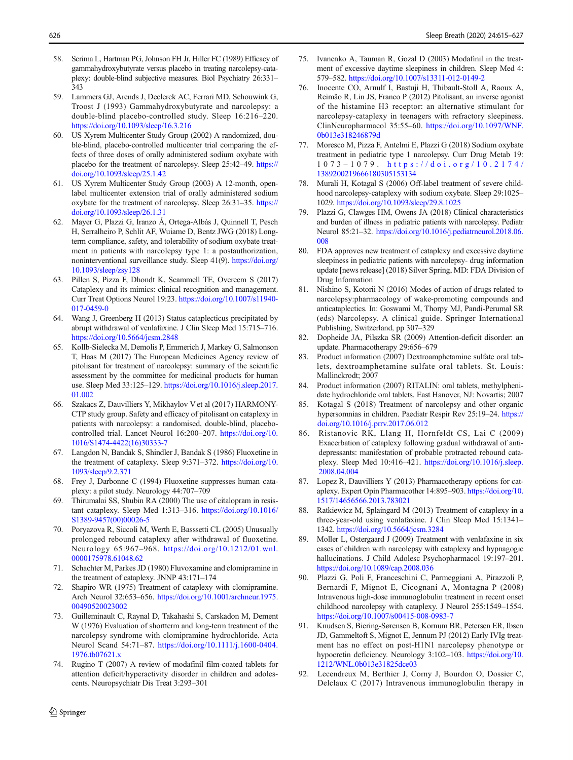- <span id="page-11-0"></span>58. Scrima L, Hartman PG, Johnson FH Jr, Hiller FC (1989) Efficacy of gammahydroxybutyrate versus placebo in treating narcolepsy-cataplexy: double-blind subjective measures. Biol Psychiatry 26:331– 343
- 59. Lammers GJ, Arends J, Declerck AC, Ferrari MD, Schouwink G, Troost J (1993) Gammahydroxybutyrate and narcolepsy: a double-blind placebo-controlled study. Sleep 16:216–220. <https://doi.org/10.1093/sleep/16.3.216>
- 60. US Xyrem Multicenter Study Group (2002) A randomized, double-blind, placebo-controlled multicenter trial comparing the effects of three doses of orally administered sodium oxybate with placebo for the treatment of narcolepsy. Sleep 25:42–49. [https://](https://doi.org/10.1093/sleep/25.1.42) [doi.org/10.1093/sleep/25.1.42](https://doi.org/10.1093/sleep/25.1.42)
- 61. US Xyrem Multicenter Study Group (2003) A 12-month, openlabel multicenter extension trial of orally administered sodium oxybate for the treatment of narcolepsy. Sleep 26:31–35. [https://](https://doi.org/10.1093/sleep/26.1.31) [doi.org/10.1093/sleep/26.1.31](https://doi.org/10.1093/sleep/26.1.31)
- 62. Mayer G, Plazzi G, Iranzo Á, Ortega-Albás J, Quinnell T, Pesch H, Serralheiro P, Schlit AF, Wuiame D, Bentz JWG (2018) Longterm compliance, safety, and tolerability of sodium oxybate treatment in patients with narcolepsy type 1: a postauthorization, noninterventional surveillance study. Sleep 41(9). [https://doi.org/](https://doi.org/10.1093/sleep/zsy128) [10.1093/sleep/zsy128](https://doi.org/10.1093/sleep/zsy128)
- 63. Pillen S, Pizza F, Dhondt K, Scammell TE, Overeem S (2017) Cataplexy and its mimics: clinical recognition and management. Curr Treat Options Neurol 19:23. [https://doi.org/10.1007/s11940-](https://doi.org/10.1007/s11940-017-0459-0) [017-0459-0](https://doi.org/10.1007/s11940-017-0459-0)
- 64. Wang J, Greenberg H (2013) Status cataplecticus precipitated by abrupt withdrawal of venlafaxine. J Clin Sleep Med 15:715–716. <https://doi.org/10.5664/jcsm.2848>
- 65. Kollb-Sielecka M, Demolis P, Emmerich J, Markey G, Salmonson T, Haas M (2017) The European Medicines Agency review of pitolisant for treatment of narcolepsy: summary of the scientific assessment by the committee for medicinal products for human use. Sleep Med 33:125–129. [https://doi.org/10.1016/j.sleep.2017.](https://doi.org/10.1016/j.sleep.2017.01.002) [01.002](https://doi.org/10.1016/j.sleep.2017.01.002)
- 66. Szakacs Z, Dauvilliers Y, Mikhaylov V et al (2017) HARMONY-CTP study group. Safety and efficacy of pitolisant on cataplexy in patients with narcolepsy: a randomised, double-blind, placebocontrolled trial. Lancet Neurol 16:200–207. [https://doi.org/10.](https://doi.org/10.1016/S1474-4422(16)30333-7) [1016/S1474-4422\(16\)30333-7](https://doi.org/10.1016/S1474-4422(16)30333-7)
- 67. Langdon N, Bandak S, Shindler J, Bandak S (1986) Fluoxetine in the treatment of cataplexy. Sleep 9:371–372. [https://doi.org/10.](https://doi.org/10.1093/sleep/9.2.371) [1093/sleep/9.2.371](https://doi.org/10.1093/sleep/9.2.371)
- 68. Frey J, Darbonne C (1994) Fluoxetine suppresses human cataplexy: a pilot study. Neurology 44:707–709
- 69. Thirumalai SS, Shubin RA (2000) The use of citalopram in resistant cataplexy. Sleep Med 1:313–316. [https://doi.org/10.1016/](https://doi.org/10.1016/S1389-9457(00)00026-5) [S1389-9457\(00\)00026-5](https://doi.org/10.1016/S1389-9457(00)00026-5)
- 70. Poryazova R, Siccoli M, Werth E, Basssetti CL (2005) Unusually prolonged rebound cataplexy after withdrawal of fluoxetine. Neurology 65:967–968. [https://doi.org/10.1212/01.wnl.](https://doi.org/10.1212/01.wnl.0000175978.61048.62) [0000175978.61048.62](https://doi.org/10.1212/01.wnl.0000175978.61048.62)
- 71. Schachter M, Parkes JD (1980) Fluvoxamine and clomipramine in the treatment of cataplexy. JNNP 43:171–174
- 72. Shapiro WR (1975) Treatment of cataplexy with clomipramine. Arch Neurol 32:653–656. [https://doi.org/10.1001/archneur.1975.](https://doi.org/10.1001/archneur.1975.00490520023002) [00490520023002](https://doi.org/10.1001/archneur.1975.00490520023002)
- 73. Guilleminault C, Raynal D, Takahashi S, Carskadon M, Dement W (1976) Evaluation of shortterm and long-term treatment of the narcolepsy syndrome with clomipramine hydrochloride. Acta Neurol Scand 54:71–87. [https://doi.org/10.1111/j.1600-0404.](https://doi.org/10.1111/j.1600-0404.1976.tb07621.x) [1976.tb07621.x](https://doi.org/10.1111/j.1600-0404.1976.tb07621.x)
- 74. Rugino T (2007) A review of modafinil film-coated tablets for attention deficit/hyperactivity disorder in children and adolescents. Neuropsychiatr Dis Treat 3:293–301
- 75. Ivanenko A, Tauman R, Gozal D (2003) Modafinil in the treatment of excessive daytime sleepiness in children. Sleep Med 4: 579–582. <https://doi.org/10.1007/s13311-012-0149-2>
- 76. Inocente CO, Arnulf I, Bastuji H, Thibault-Stoll A, Raoux A, Reimão R, Lin JS, Franco P (2012) Pitolisant, an inverse agonist of the histamine H3 receptor: an alternative stimulant for narcolepsy-cataplexy in teenagers with refractory sleepiness. ClinNeuropharmacol 35:55–60. [https://doi.org/10.1097/WNF.](https://doi.org/10.1097/WNF.0b013e318246879d) [0b013e318246879d](https://doi.org/10.1097/WNF.0b013e318246879d)
- 77. Moresco M, Pizza F, Antelmi E, Plazzi G (2018) Sodium oxybate treatment in pediatric type 1 narcolepsy. Curr Drug Metab 19: 1073 – 1079. [https://doi.org/10.2174/](https://doi.org/10.2174/1389200219666180305153134) [1389200219666180305153134](https://doi.org/10.2174/1389200219666180305153134)
- 78. Murali H, Kotagal S (2006) Off-label treatment of severe childhood narcolepsy-cataplexy with sodium oxybate. Sleep 29:1025– 1029. <https://doi.org/10.1093/sleep/29.8.1025>
- 79. Plazzi G, Clawges HM, Owens JA (2018) Clinical characteristics and burden of illness in pediatric patients with narcolepsy. Pediatr Neurol 85:21–32. [https://doi.org/10.1016/j.pediatrneurol.2018.06.](https://doi.org/10.1016/j.pediatrneurol.2018.06.008) [008](https://doi.org/10.1016/j.pediatrneurol.2018.06.008)
- 80. FDA approves new treatment of cataplexy and excessive daytime sleepiness in pediatric patients with narcolepsy- drug information update [news release] (2018) Silver Spring, MD: FDA Division of Drug Information
- 81. Nishino S, Kotorii N (2016) Modes of action of drugs related to narcolepsy:pharmacology of wake-promoting compounds and anticataplectics. In: Goswami M, Thorpy MJ, Pandi-Perumal SR (eds) Narcolepsy. A clinical guide. Springer International Publishing, Switzerland, pp 307–329
- 82. Dopheide JA, Pilszka SR (2009) Attention-deficit disorder: an update. Pharmacotherapy 29:656–679
- 83. Product information (2007) Dextroamphetamine sulfate oral tablets, dextroamphetamine sulfate oral tablets. St. Louis: Mallinckrodt; 2007
- 84. Product information (2007) RITALIN: oral tablets, methylphenidate hydrochloride oral tablets. East Hanover, NJ: Novartis; 2007
- 85. Kotagal S (2018) Treatment of narcolepsy and other organic hypersomnias in children. Paediatr Respir Rev 25:19–24. [https://](https://doi.org/10.1016/j.prrv.2017.06.012) [doi.org/10.1016/j.prrv.2017.06.012](https://doi.org/10.1016/j.prrv.2017.06.012)
- 86. Ristanovic RK, Llang H, Hornfeldt CS, Lai C (2009) Exacerbation of cataplexy following gradual withdrawal of antidepressants: manifestation of probable protracted rebound cataplexy. Sleep Med 10:416–421. [https://doi.org/10.1016/j.sleep.](https://doi.org/10.1016/j.sleep.2008.04.004) [2008.04.004](https://doi.org/10.1016/j.sleep.2008.04.004)
- 87. Lopez R, Dauvilliers Y (2013) Pharmacotherapy options for cataplexy. Expert Opin Pharmacother 14:895–903. [https://doi.org/10.](https://doi.org/10.1517/14656566.2013.783021) [1517/14656566.2013.783021](https://doi.org/10.1517/14656566.2013.783021)
- 88. Ratkiewicz M, Splaingard M (2013) Treatment of cataplexy in a three-year-old using venlafaxine. J Clin Sleep Med 15:1341– 1342. <https://doi.org/10.5664/jcsm.3284>
- 89. Moller L, Ostergaard J (2009) Treatment with venlafaxine in six cases of children with narcolepsy with cataplexy and hypnagogic hallucinations. J Child Adolesc Psychopharmacol 19:197–201. <https://doi.org/10.1089/cap.2008.036>
- 90. Plazzi G, Poli F, Franceschini C, Parmeggiani A, Pirazzoli P, Bernardi F, Mignot E, Cicognani A, Montagna P (2008) Intravenous high-dose immunoglobulin treatment in recent onset childhood narcolepsy with cataplexy. J Neurol 255:1549–1554. <https://doi.org/10.1007/s00415-008-0983-7>
- 91. Knudsen S, Biering-Sørensen B, Kornum BR, Petersen ER, Ibsen JD, Gammeltoft S, Mignot E, Jennum PJ (2012) Early IVIg treatment has no effect on post-H1N1 narcolepsy phenotype or hypocretin deficiency. Neurology 3:102–103. [https://doi.org/10.](https://doi.org/10.1212/WNL.0b013e31825dce03) [1212/WNL.0b013e31825dce03](https://doi.org/10.1212/WNL.0b013e31825dce03)
- 92. Lecendreux M, Berthier J, Corny J, Bourdon O, Dossier C, Delclaux C (2017) Intravenous immunoglobulin therapy in